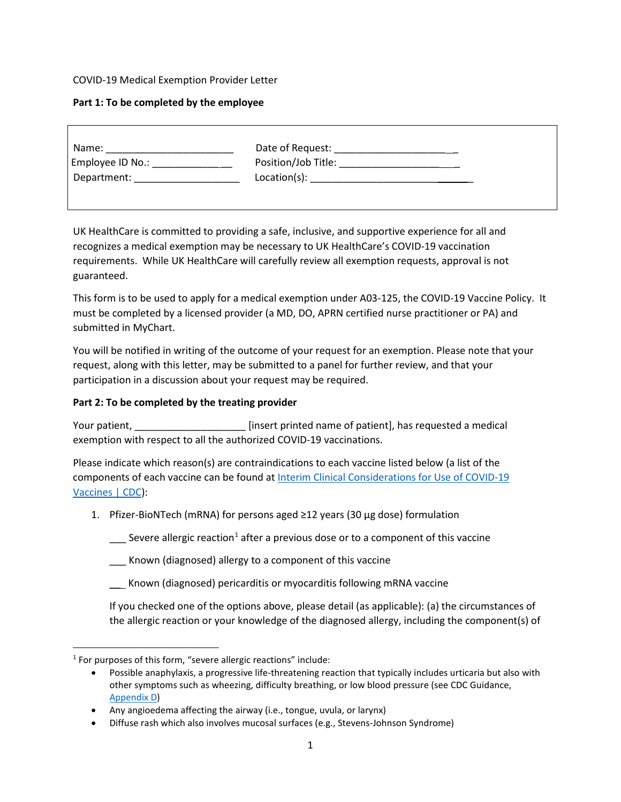## COVID-19 Medical Exemption Provider Letter

## **Part 1: To be completed by the employee**

| Name:            | Date of Request:    |
|------------------|---------------------|
| Employee ID No.: | Position/Job Title: |
| Department:      | Location(s):        |

UK HealthCare is committed to providing a safe, inclusive, and supportive experience for all and recognizes a medical exemption may be necessary to UK HealthCare's COVID-19 vaccination requirements. While UK HealthCare will carefully review all exemption requests, approval is not guaranteed.

This form is to be used to apply for a medical exemption under A03-125, the COVID-19 Vaccine Policy. It must be completed by a licensed provider (a MD, DO, APRN certified nurse practitioner or PA) and submitted in MyChart.

[You w](https://covid-19.ukhc.org/wp-content/uploads/sites/121/2021/11/Manager_Toolkit_Declination_Section_11-18-21.pdf)ill be notified in writing of the outcome of your request for an exemption. Please note that your request, along with this letter, may be submitted to a panel for further review, and that your participation in a discussion about your request may be required.

## **Part 2: To be completed by the treating provider**

Your patient, **we can also construct the example of patient** and patient printed name of patient], has requested a medical exemption with respect to all the authorized COVID-19 vaccinations.

Please indicate which reason(s) are contraindications to each vaccine listed below (a list of the components of each vaccine can be found at Interim Clinical Considerations for Use of COVID-19 Vaccines | CDC):

1. [Pfizer-](https://www.cdc.gov/vaccines/covid-19/clinical-considerations/covid-19-vaccines-us.html#Appendix-C)BioNTech (mRNA) for persons aged ≥12 years (30 µg dose) formulation

 $\frac{1}{2}$  Severe allergic reaction<sup>1</sup> after a previous dose or to a component of this vaccine

\_\_\_ Known (diagnosed) allergy to a component of this vaccine

\_\_ Known (diagnosed) pericarditis or myocarditis following mRNA vaccine

If you checked one of the options above, please detail (as applicable): (a) the circumstances of the allergic reaction or your knowledge of the diagnosed allergy, including the component(s) of

 $1$  For purposes of this form, "severe allergic reactions" include:

<sup>•</sup> Possible anaphylaxis, a progressive life-threatening reaction that typically includes urticaria but also with other symptoms such as wheezing, difficulty breathing, or low blood pressure (see CDC Guidance, [Appendix D\)](https://www.cdc.gov/vaccines/covid-19/clinical-considerations/covid-19-vaccines-us.html#Appendix-D)

<sup>•</sup> Any angioedema affecting the airway (i.e., tongue, uvula, or larynx)

<sup>•</sup> Diffuse rash which also involves mucosal surfaces (e.g., Stevens-Johnson Syndrome)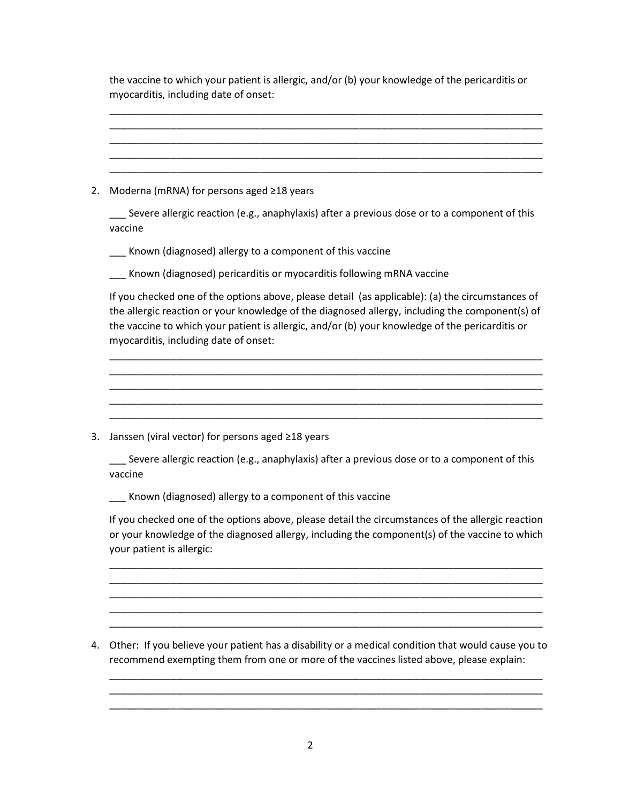| the vaccine to which your patient is allergic, and/or (b) your knowledge of the pericarditis or |
|-------------------------------------------------------------------------------------------------|
| myocarditis, including date of onset:                                                           |

| 2. |                                                                                                                                                                                                                                                                                                                                                 |
|----|-------------------------------------------------------------------------------------------------------------------------------------------------------------------------------------------------------------------------------------------------------------------------------------------------------------------------------------------------|
|    | Moderna (mRNA) for persons aged ≥18 years                                                                                                                                                                                                                                                                                                       |
|    | Severe allergic reaction (e.g., anaphylaxis) after a previous dose or to a component of this<br>vaccine                                                                                                                                                                                                                                         |
|    | _ Known (diagnosed) allergy to a component of this vaccine                                                                                                                                                                                                                                                                                      |
|    | Known (diagnosed) pericarditis or myocarditis following mRNA vaccine                                                                                                                                                                                                                                                                            |
|    | If you checked one of the options above, please detail (as applicable): (a) the circumstances of<br>the allergic reaction or your knowledge of the diagnosed allergy, including the component(s) of<br>the vaccine to which your patient is allergic, and/or (b) your knowledge of the pericarditis or<br>myocarditis, including date of onset: |
|    |                                                                                                                                                                                                                                                                                                                                                 |
| 3. | Janssen (viral vector) for persons aged ≥18 years                                                                                                                                                                                                                                                                                               |
|    | Severe allergic reaction (e.g., anaphylaxis) after a previous dose or to a component of this<br>vaccine                                                                                                                                                                                                                                         |
|    | Known (diagnosed) allergy to a component of this vaccine                                                                                                                                                                                                                                                                                        |
|    | If you checked one of the options above, please detail the circumstances of the allergic reaction<br>or your knowledge of the diagnosed allergy, including the component(s) of the vaccine to which<br>your patient is allergic:                                                                                                                |

4. Other: If you believe your patient has a disability or a medical condition that would cause you to recommend exempting them from one or more of the vaccines listed above, please explain:

\_\_\_\_\_\_\_\_\_\_\_\_\_\_\_\_\_\_\_\_\_\_\_\_\_\_\_\_\_\_\_\_\_\_\_\_\_\_\_\_\_\_\_\_\_\_\_\_\_\_\_\_\_\_\_\_\_\_\_\_\_\_\_\_\_\_\_\_\_\_\_\_\_\_\_\_\_\_

\_\_\_\_\_\_\_\_\_\_\_\_\_\_\_\_\_\_\_\_\_\_\_\_\_\_\_\_\_\_\_\_\_\_\_\_\_\_\_\_\_\_\_\_\_\_\_\_\_\_\_\_\_\_\_\_\_\_\_\_\_\_\_\_\_\_\_\_\_\_\_\_\_\_\_\_\_\_